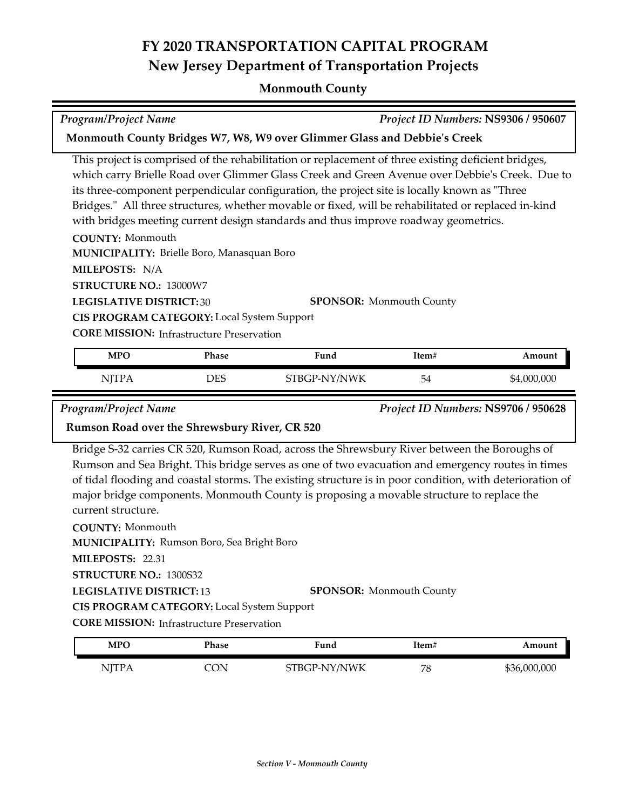### **FY 2020 TRANSPORTATION CAPITAL PROGRAM New Jersey Department of Transportation Projects**

### **Monmouth County**

# *Program/Project Name Project ID Numbers:* **NS9306 / 950607**

#### **Monmouth County Bridges W7, W8, W9 over Glimmer Glass and Debbie's Creek**

This project is comprised of the rehabilitation or replacement of three existing deficient bridges, which carry Brielle Road over Glimmer Glass Creek and Green Avenue over Debbie's Creek. Due to its three-component perpendicular configuration, the project site is locally known as "Three Bridges." All three structures, whether movable or fixed, will be rehabilitated or replaced in-kind with bridges meeting current design standards and thus improve roadway geometrics.

**COUNTY:** Monmouth **LEGISLATIVE DISTRICT:** 30 **MILEPOSTS:** N/A **STRUCTURE NO.:** 13000W7 **MUNICIPALITY: Brielle Boro, Manasquan Boro CORE MISSION: Infrastructure Preservation SPONSOR:** Monmouth County **CIS PROGRAM CATEGORY:** Local System Support

| MPO          | <b>Phase</b> | Fund         | Item# | Amount      |
|--------------|--------------|--------------|-------|-------------|
| <b>NITPA</b> | DES          | STBGP-NY/NWK | 54    | \$4,000,000 |

*Program/Project Name Project ID Numbers:* **NS9706 / 950628**

#### **Rumson Road over the Shrewsbury River, CR 520**

Bridge S‐32 carries CR 520, Rumson Road, across the Shrewsbury River between the Boroughs of Rumson and Sea Bright. This bridge serves as one of two evacuation and emergency routes in times of tidal flooding and coastal storms. The existing structure is in poor condition, with deterioration of major bridge components. Monmouth County is proposing a movable structure to replace the current structure.

**COUNTY:** Monmouth **LEGISLATIVE DISTRICT:** 13 **MILEPOSTS:** 22.31 **STRUCTURE NO.:** 1300S32 **MUNICIPALITY: Rumson Boro, Sea Bright Boro SPONSOR:** Monmouth County **CIS PROGRAM CATEGORY:** Local System Support

**CORE MISSION:** Infrastructure Preservation

| <b>MPO</b> | Phase | Fund         | ltem# | Amount       |
|------------|-------|--------------|-------|--------------|
| NITPA      | `N    | STBGP-NY/NWK | 78    | \$36,000,000 |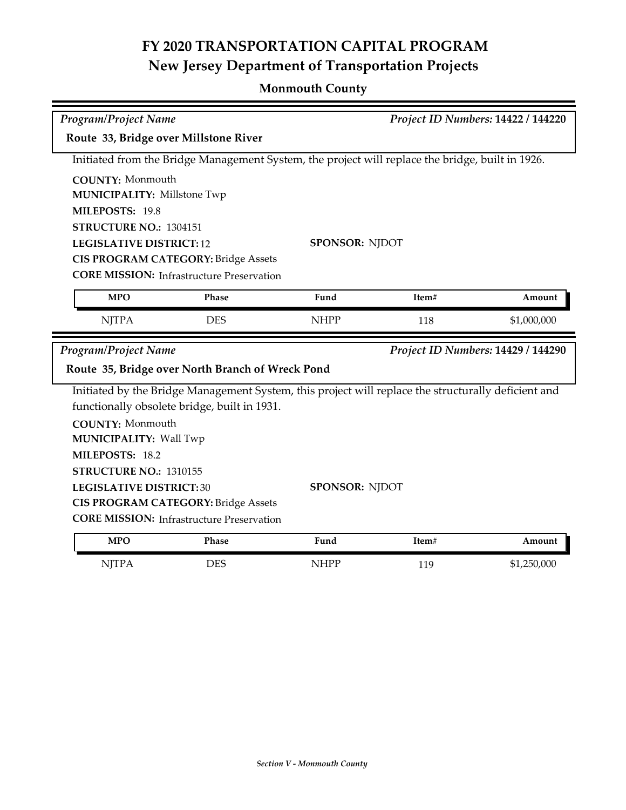## **FY 2020 TRANSPORTATION CAPITAL PROGRAM New Jersey Department of Transportation Projects**

### **Monmouth County**

| <b>Program/Project Name</b>           |                                                  |                                                                                                     |       | Project ID Numbers: 14422 / 144220 |
|---------------------------------------|--------------------------------------------------|-----------------------------------------------------------------------------------------------------|-------|------------------------------------|
| Route 33, Bridge over Millstone River |                                                  |                                                                                                     |       |                                    |
|                                       |                                                  | Initiated from the Bridge Management System, the project will replace the bridge, built in 1926.    |       |                                    |
| <b>COUNTY: Monmouth</b>               |                                                  |                                                                                                     |       |                                    |
| <b>MUNICIPALITY: Millstone Twp</b>    |                                                  |                                                                                                     |       |                                    |
| MILEPOSTS: 19.8                       |                                                  |                                                                                                     |       |                                    |
| STRUCTURE NO.: 1304151                |                                                  |                                                                                                     |       |                                    |
| <b>LEGISLATIVE DISTRICT: 12</b>       |                                                  | <b>SPONSOR: NJDOT</b>                                                                               |       |                                    |
|                                       | <b>CIS PROGRAM CATEGORY: Bridge Assets</b>       |                                                                                                     |       |                                    |
|                                       | <b>CORE MISSION:</b> Infrastructure Preservation |                                                                                                     |       |                                    |
| <b>MPO</b>                            | Phase                                            | Fund                                                                                                | Item# | Amount                             |
| <b>NJTPA</b>                          | <b>DES</b>                                       | <b>NHPP</b>                                                                                         | 118   | \$1,000,000                        |
|                                       |                                                  |                                                                                                     |       |                                    |
| Program/Project Name                  |                                                  |                                                                                                     |       | Project ID Numbers: 14429 / 144290 |
|                                       | Route 35, Bridge over North Branch of Wreck Pond |                                                                                                     |       |                                    |
|                                       |                                                  | Initiated by the Bridge Management System, this project will replace the structurally deficient and |       |                                    |
|                                       | functionally obsolete bridge, built in 1931.     |                                                                                                     |       |                                    |
| <b>COUNTY: Monmouth</b>               |                                                  |                                                                                                     |       |                                    |
| <b>MUNICIPALITY: Wall Twp</b>         |                                                  |                                                                                                     |       |                                    |
| MILEPOSTS: 18.2                       |                                                  |                                                                                                     |       |                                    |
| STRUCTURE NO.: 1310155                |                                                  |                                                                                                     |       |                                    |
| <b>LEGISLATIVE DISTRICT:30</b>        |                                                  | <b>SPONSOR: NJDOT</b>                                                                               |       |                                    |
|                                       | <b>CIS PROGRAM CATEGORY: Bridge Assets</b>       |                                                                                                     |       |                                    |
|                                       | <b>CORE MISSION:</b> Infrastructure Preservation |                                                                                                     |       |                                    |
| <b>MPO</b>                            | Phase                                            | Fund                                                                                                | Item# | Amount                             |
| <b>NJTPA</b>                          | <b>DES</b>                                       | <b>NHPP</b>                                                                                         | 119   | \$1,250,000                        |
|                                       |                                                  |                                                                                                     |       |                                    |